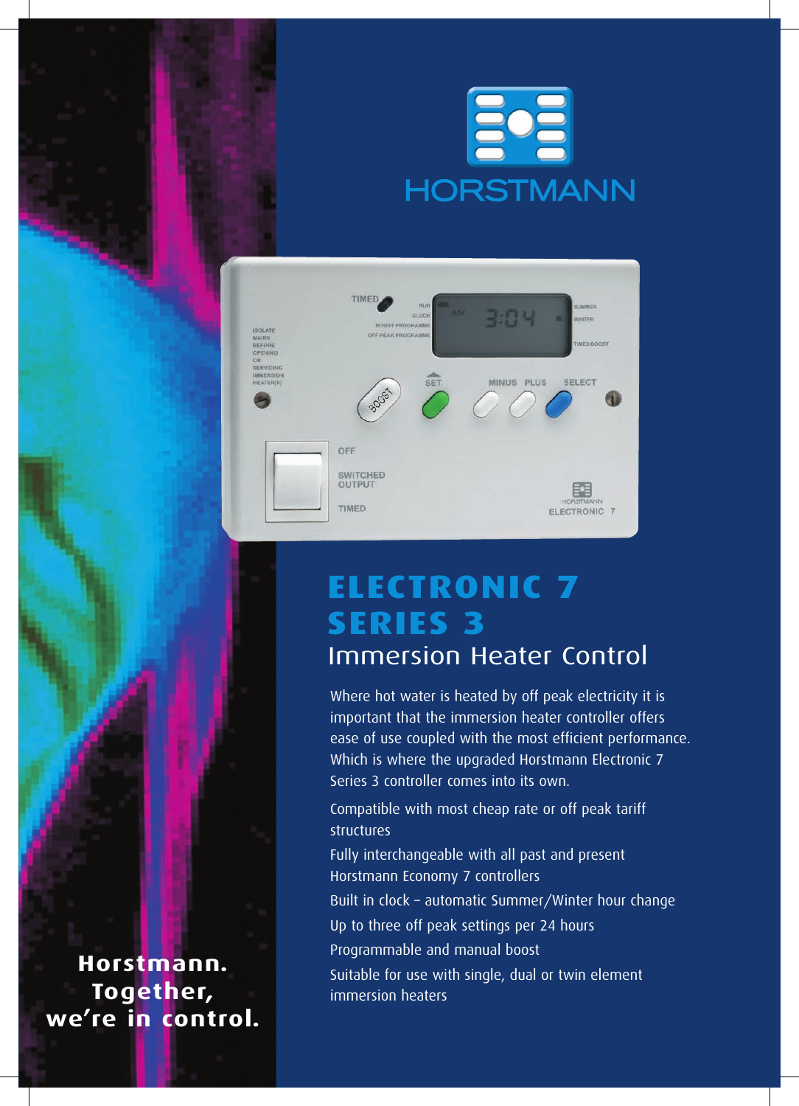# <u>Eoa</u> **HORSTMANN**



### **Electronic 7 SERIES 3** Immersion Heater Control

Where hot water is heated by off peak electricity it is important that the immersion heater controller offers ease of use coupled with the most efficient performance. Which is where the upgraded Horstmann Electronic 7 Series 3 controller comes into its own.

Compatible with most cheap rate or off peak tariff structures

Fully interchangeable with all past and present Horstmann Economy 7 controllers Built in clock – automatic Summer/Winter hour change Up to three off peak settings per 24 hours Programmable and manual boost Suitable for use with single, dual or twin element immersion heaters

**Horstmann. Together, we're in control.**